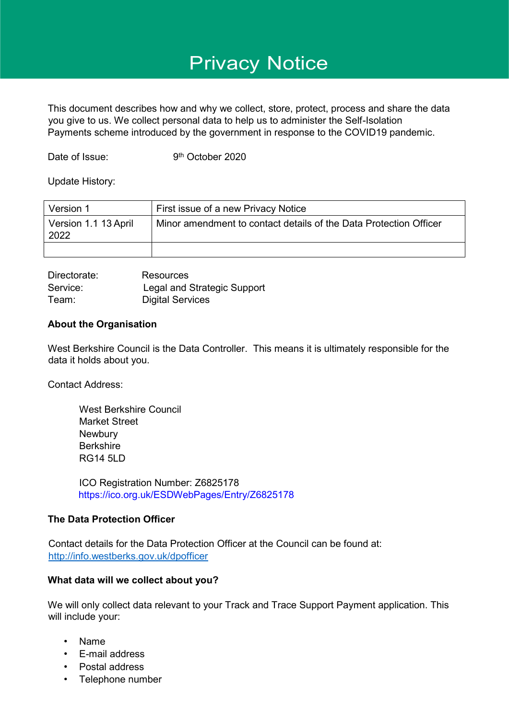# Privacy Notice

This document describes how and why we collect, store, protect, process and share the data you give to us. We collect personal data to help us to administer the Self-Isolation Payments scheme introduced by the government in response to the COVID19 pandemic.

Date of Issue:

9<sup>th</sup> October 2020

Update History:

| Version 1                    | First issue of a new Privacy Notice                               |
|------------------------------|-------------------------------------------------------------------|
| Version 1.1 13 April<br>2022 | Minor amendment to contact details of the Data Protection Officer |
|                              |                                                                   |

Directorate: Resources Service: Legal and Strategic Support Team: Digital Services

#### **About the Organisation**

West Berkshire Council is the Data Controller. This means it is ultimately responsible for the data it holds about you.

Contact Address:

West Berkshire Council Market Street **Newbury Berkshire** RG14 5LD

ICO Registration Number: Z6825178 https://ico.org.uk/ESDWebPages/Entry/Z6825178

## **The Data Protection Officer**

Contact details for the Data Protection Officer at the Council can be found at: <http://info.westberks.gov.uk/dpofficer>

## **What data will we collect about you?**

We will only collect data relevant to your Track and Trace Support Payment application. This will include your:

- Name
- E-mail address
- Postal address
- Telephone number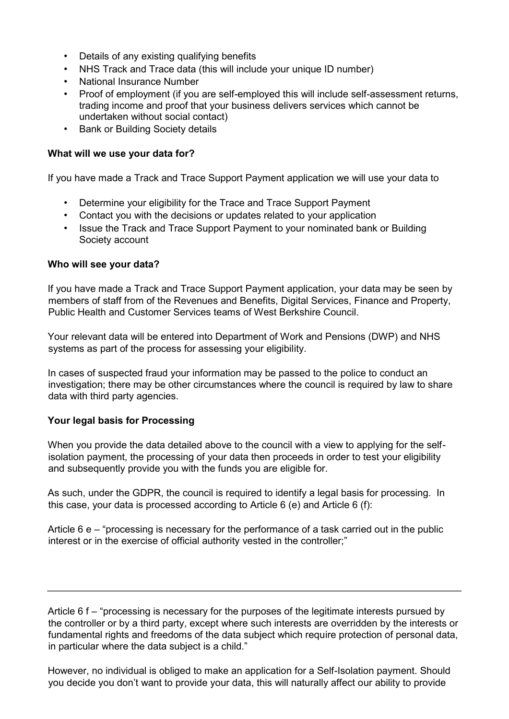- Details of any existing qualifying benefits
- NHS Track and Trace data (this will include your unique ID number)
- National Insurance Number
- Proof of employment (if you are self-employed this will include self-assessment returns, trading income and proof that your business delivers services which cannot be undertaken without social contact)
- Bank or Building Society details

## **What will we use your data for?**

If you have made a Track and Trace Support Payment application we will use your data to

- Determine your eligibility for the Trace and Trace Support Payment
- Contact you with the decisions or updates related to your application
- Issue the Track and Trace Support Payment to your nominated bank or Building Society account

## **Who will see your data?**

If you have made a Track and Trace Support Payment application, your data may be seen by members of staff from of the Revenues and Benefits, Digital Services, Finance and Property, Public Health and Customer Services teams of West Berkshire Council.

Your relevant data will be entered into Department of Work and Pensions (DWP) and NHS systems as part of the process for assessing your eligibility.

In cases of suspected fraud your information may be passed to the police to conduct an investigation; there may be other circumstances where the council is required by law to share data with third party agencies.

## **Your legal basis for Processing**

When you provide the data detailed above to the council with a view to applying for the selfisolation payment, the processing of your data then proceeds in order to test your eligibility and subsequently provide you with the funds you are eligible for.

As such, under the GDPR, the council is required to identify a legal basis for processing. In this case, your data is processed according to Article 6 (e) and Article 6 (f):

Article 6 e – "processing is necessary for the performance of a task carried out in the public interest or in the exercise of official authority vested in the controller;"

Article 6 f – "processing is necessary for the purposes of the legitimate interests pursued by the controller or by a third party, except where such interests are overridden by the interests or fundamental rights and freedoms of the data subject which require protection of personal data, in particular where the data subject is a child."

However, no individual is obliged to make an application for a Self-Isolation payment. Should you decide you don't want to provide your data, this will naturally affect our ability to provide